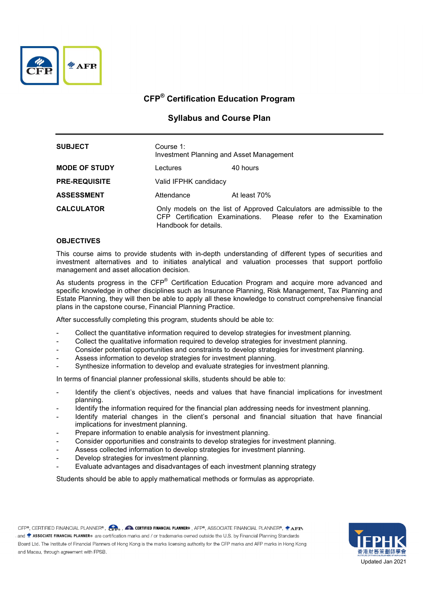

## Syllabus and Course Plan

| <b>SUBJECT</b>       | Course 1:<br>Investment Planning and Asset Management |                                                                                                                                          |
|----------------------|-------------------------------------------------------|------------------------------------------------------------------------------------------------------------------------------------------|
| <b>MODE OF STUDY</b> | Lectures                                              | 40 hours                                                                                                                                 |
| <b>PRE-REQUISITE</b> | Valid IFPHK candidacy                                 |                                                                                                                                          |
| <b>ASSESSMENT</b>    | Attendance                                            | At least 70%                                                                                                                             |
| <b>CALCULATOR</b>    | Handbook for details.                                 | Only models on the list of Approved Calculators are admissible to the<br>CFP Certification Examinations. Please refer to the Examination |

### **OBJECTIVES**

This course aims to provide students with in-depth understanding of different types of securities and investment alternatives and to initiates analytical and valuation processes that support portfolio management and asset allocation decision.

As students progress in the CFP<sup>®</sup> Certification Education Program and acquire more advanced and specific knowledge in other disciplines such as Insurance Planning, Risk Management, Tax Planning and Estate Planning, they will then be able to apply all these knowledge to construct comprehensive financial plans in the capstone course, Financial Planning Practice.

After successfully completing this program, students should be able to:

- Collect the quantitative information required to develop strategies for investment planning.
- Collect the qualitative information required to develop strategies for investment planning.
- Consider potential opportunities and constraints to develop strategies for investment planning.
- Assess information to develop strategies for investment planning.
- Synthesize information to develop and evaluate strategies for investment planning.

In terms of financial planner professional skills, students should be able to:

- Identify the client's objectives, needs and values that have financial implications for investment planning.
- Identify the information required for the financial plan addressing needs for investment planning.
- Identify material changes in the client's personal and financial situation that have financial implications for investment planning.
- Prepare information to enable analysis for investment planning.
- Consider opportunities and constraints to develop strategies for investment planning.
- Assess collected information to develop strategies for investment planning.
- Develop strategies for investment planning.
- Evaluate advantages and disadvantages of each investment planning strategy

Students should be able to apply mathematical methods or formulas as appropriate.

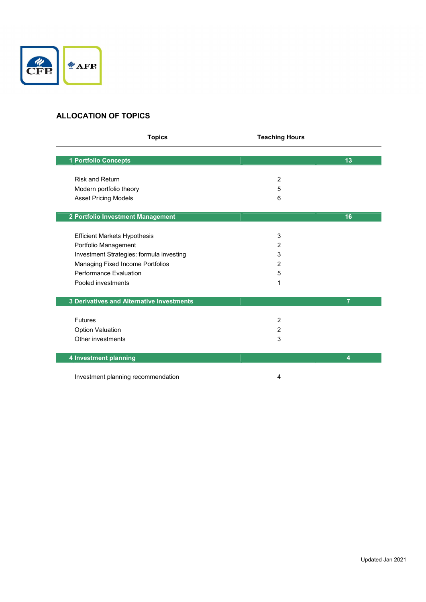

# ALLOCATION OF TOPICS

| <b>Topics</b>                             | <b>Teaching Hours</b> |                |
|-------------------------------------------|-----------------------|----------------|
| 1 Portfolio Concepts                      |                       | 13             |
|                                           |                       |                |
| <b>Risk and Return</b>                    | 2                     |                |
| Modern portfolio theory                   | 5                     |                |
| <b>Asset Pricing Models</b>               | 6                     |                |
| 2 Portfolio Investment Management         |                       | 16             |
|                                           |                       |                |
| <b>Efficient Markets Hypothesis</b>       | 3                     |                |
| Portfolio Management                      | $\overline{2}$        |                |
| Investment Strategies: formula investing  | 3                     |                |
| Managing Fixed Income Portfolios          | 2                     |                |
| Performance Evaluation                    | 5                     |                |
| Pooled investments                        | 1                     |                |
| 3 Derivatives and Alternative Investments |                       | $\overline{7}$ |
| <b>Futures</b>                            | 2                     |                |
| <b>Option Valuation</b>                   | 2                     |                |
| Other investments                         | 3                     |                |
| 4 Investment planning                     |                       | 4              |
| Investment planning recommendation        | 4                     |                |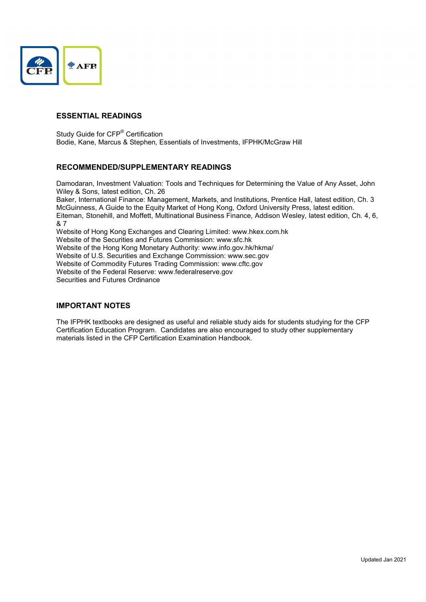

### ESSENTIAL READINGS

Study Guide for CFP<sup>®</sup> Certification Bodie, Kane, Marcus & Stephen, Essentials of Investments, IFPHK/McGraw Hill

### RECOMMENDED/SUPPLEMENTARY READINGS

Damodaran, Investment Valuation: Tools and Techniques for Determining the Value of Any Asset, John Wiley & Sons, latest edition, Ch. 26

Baker, International Finance: Management, Markets, and Institutions, Prentice Hall, latest edition, Ch. 3 McGuinness, A Guide to the Equity Market of Hong Kong, Oxford University Press, latest edition. Eiteman, Stonehill, and Moffett, Multinational Business Finance, Addison Wesley, latest edition, Ch. 4, 6, & 7 Website of Hong Kong Exchanges and Clearing Limited: www.hkex.com.hk

Website of the Securities and Futures Commission: www.sfc.hk Website of the Hong Kong Monetary Authority: www.info.gov.hk/hkma/ Website of U.S. Securities and Exchange Commission: www.sec.gov Website of Commodity Futures Trading Commission: www.cftc.gov Website of the Federal Reserve: www.federalreserve.gov Securities and Futures Ordinance

### IMPORTANT NOTES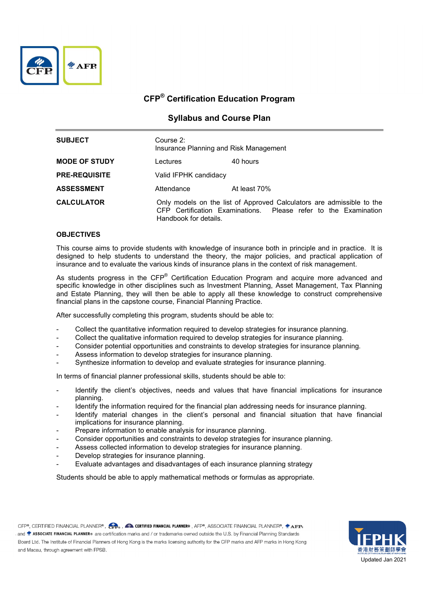

## Syllabus and Course Plan

| <b>SUBJECT</b>       | Course 2:<br>Insurance Planning and Risk Management |                                                                                                                                          |
|----------------------|-----------------------------------------------------|------------------------------------------------------------------------------------------------------------------------------------------|
| <b>MODE OF STUDY</b> | Lectures                                            | 40 hours                                                                                                                                 |
| <b>PRE-REQUISITE</b> | Valid IFPHK candidacy                               |                                                                                                                                          |
| <b>ASSESSMENT</b>    | Attendance                                          | At least 70%                                                                                                                             |
| <b>CALCULATOR</b>    | Handbook for details.                               | Only models on the list of Approved Calculators are admissible to the<br>CFP Certification Examinations. Please refer to the Examination |

### **OBJECTIVES**

This course aims to provide students with knowledge of insurance both in principle and in practice. It is designed to help students to understand the theory, the major policies, and practical application of insurance and to evaluate the various kinds of insurance plans in the context of risk management.

As students progress in the CFP<sup>®</sup> Certification Education Program and acquire more advanced and specific knowledge in other disciplines such as Investment Planning, Asset Management, Tax Planning and Estate Planning, they will then be able to apply all these knowledge to construct comprehensive financial plans in the capstone course, Financial Planning Practice.

After successfully completing this program, students should be able to:

- Collect the quantitative information required to develop strategies for insurance planning.
- Collect the qualitative information required to develop strategies for insurance planning.
- Consider potential opportunities and constraints to develop strategies for insurance planning.
- Assess information to develop strategies for insurance planning.
- Synthesize information to develop and evaluate strategies for insurance planning.

In terms of financial planner professional skills, students should be able to:

- Identify the client's objectives, needs and values that have financial implications for insurance planning.
- Identify the information required for the financial plan addressing needs for insurance planning.
- Identify material changes in the client's personal and financial situation that have financial implications for insurance planning.
- Prepare information to enable analysis for insurance planning.
- Consider opportunities and constraints to develop strategies for insurance planning.
- Assess collected information to develop strategies for insurance planning.
- Develop strategies for insurance planning.
- Evaluate advantages and disadvantages of each insurance planning strategy

Students should be able to apply mathematical methods or formulas as appropriate.

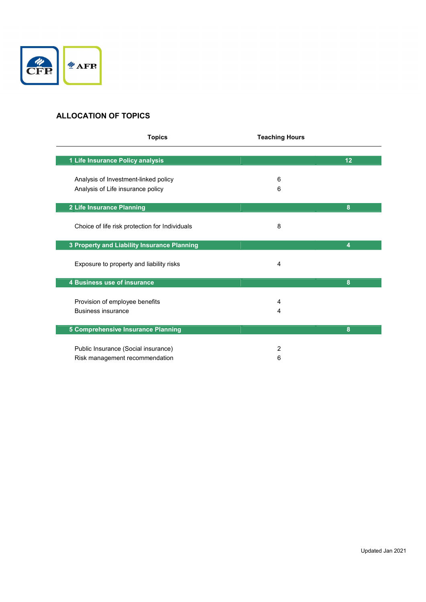

# ALLOCATION OF TOPICS

| <b>Topics</b>                                                             | <b>Teaching Hours</b> |                |
|---------------------------------------------------------------------------|-----------------------|----------------|
| 1 Life Insurance Policy analysis                                          |                       | 12             |
| Analysis of Investment-linked policy<br>Analysis of Life insurance policy | 6<br>6                |                |
| 2 Life Insurance Planning                                                 |                       | 8              |
| Choice of life risk protection for Individuals                            | 8                     |                |
| 3 Property and Liability Insurance Planning                               |                       | $\overline{4}$ |
| Exposure to property and liability risks                                  | 4                     |                |
| 4 Business use of insurance                                               |                       | 8              |
| Provision of employee benefits<br><b>Business insurance</b>               | 4<br>4                |                |
| 5 Comprehensive Insurance Planning                                        |                       | 8              |
| Public Insurance (Social insurance)<br>Risk management recommendation     | 2<br>6                |                |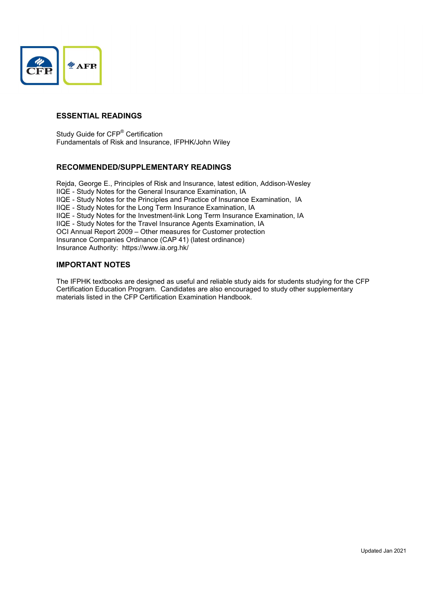

### ESSENTIAL READINGS

Study Guide for CFP<sup>®</sup> Certification Fundamentals of Risk and Insurance, IFPHK/John Wiley

### RECOMMENDED/SUPPLEMENTARY READINGS

Rejda, George E., Principles of Risk and Insurance, latest edition, Addison-Wesley IIQE - Study Notes for the General Insurance Examination, IA IIQE - Study Notes for the Principles and Practice of Insurance Examination, IA IIQE - Study Notes for the Long Term Insurance Examination, IA IIQE - Study Notes for the Investment-link Long Term Insurance Examination, IA IIQE - Study Notes for the Travel Insurance Agents Examination, IA OCI Annual Report 2009 – Other measures for Customer protection Insurance Companies Ordinance (CAP 41) (latest ordinance) Insurance Authority: https://www.ia.org.hk/

### IMPORTANT NOTES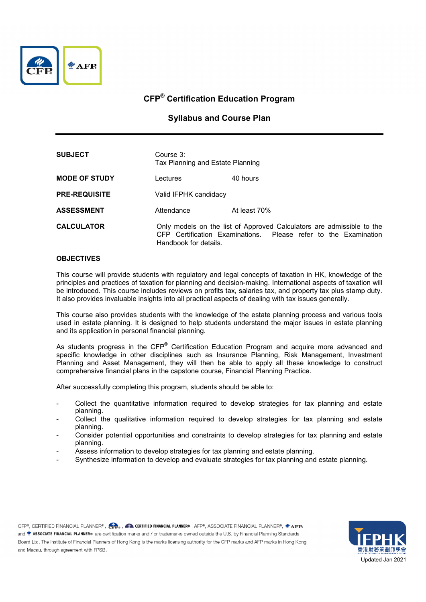

### Syllabus and Course Plan

| <b>SUBJECT</b>       | Course 3:<br>Tax Planning and Estate Planning                                                                                                                     |              |
|----------------------|-------------------------------------------------------------------------------------------------------------------------------------------------------------------|--------------|
| <b>MODE OF STUDY</b> | Lectures                                                                                                                                                          | 40 hours     |
| <b>PRE-REQUISITE</b> | Valid IFPHK candidacy                                                                                                                                             |              |
| <b>ASSESSMENT</b>    | Attendance                                                                                                                                                        | At least 70% |
| <b>CALCULATOR</b>    | Only models on the list of Approved Calculators are admissible to the<br>CFP Certification Examinations. Please refer to the Examination<br>Handbook for details. |              |

### **OBJECTIVES**

This course will provide students with regulatory and legal concepts of taxation in HK, knowledge of the principles and practices of taxation for planning and decision-making. International aspects of taxation will be introduced. This course includes reviews on profits tax, salaries tax, and property tax plus stamp duty. It also provides invaluable insights into all practical aspects of dealing with tax issues generally.

This course also provides students with the knowledge of the estate planning process and various tools used in estate planning. It is designed to help students understand the major issues in estate planning and its application in personal financial planning.

As students progress in the CFP<sup>®</sup> Certification Education Program and acquire more advanced and specific knowledge in other disciplines such as Insurance Planning, Risk Management, Investment Planning and Asset Management, they will then be able to apply all these knowledge to construct comprehensive financial plans in the capstone course, Financial Planning Practice.

After successfully completing this program, students should be able to:

- Collect the quantitative information required to develop strategies for tax planning and estate planning.
- Collect the qualitative information required to develop strategies for tax planning and estate planning.
- Consider potential opportunities and constraints to develop strategies for tax planning and estate planning.
- Assess information to develop strategies for tax planning and estate planning.
- Synthesize information to develop and evaluate strategies for tax planning and estate planning.

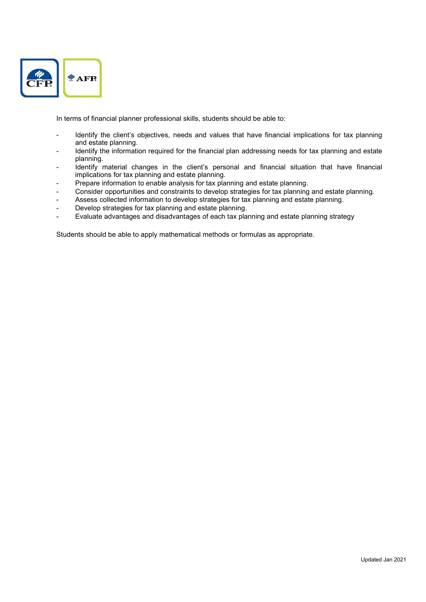

In terms of financial planner professional skills, students should be able to:

- Identify the client's objectives, needs and values that have financial implications for tax planning and estate planning.
- Identify the information required for the financial plan addressing needs for tax planning and estate planning.
- Identify material changes in the client's personal and financial situation that have financial implications for tax planning and estate planning.
- Prepare information to enable analysis for tax planning and estate planning.
- Consider opportunities and constraints to develop strategies for tax planning and estate planning.
- Assess collected information to develop strategies for tax planning and estate planning.
- Develop strategies for tax planning and estate planning.
- Evaluate advantages and disadvantages of each tax planning and estate planning strategy

Students should be able to apply mathematical methods or formulas as appropriate.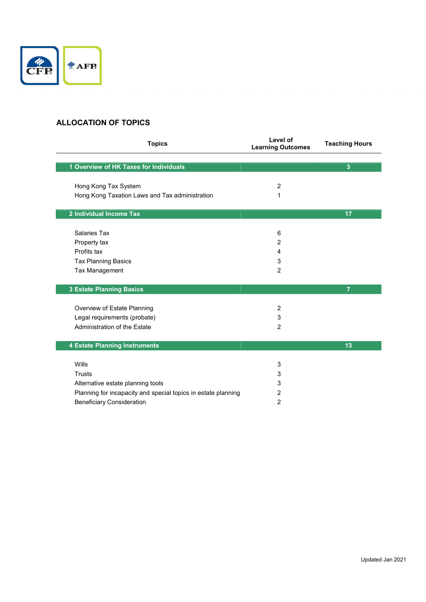

## ALLOCATION OF TOPICS

| <b>Topics</b>                                                 | Level of<br><b>Learning Outcomes</b> | <b>Teaching Hours</b> |
|---------------------------------------------------------------|--------------------------------------|-----------------------|
| 1 Overview of HK Taxes for Individuals                        |                                      | 3                     |
|                                                               |                                      |                       |
| Hong Kong Tax System                                          | $\overline{2}$                       |                       |
| Hong Kong Taxation Laws and Tax administration                | 1                                    |                       |
|                                                               |                                      |                       |
| 2 Individual Income Tax                                       |                                      | 17                    |
|                                                               |                                      |                       |
| Salaries Tax                                                  | 6                                    |                       |
| Property tax                                                  | 2                                    |                       |
| Profits tax                                                   | 4                                    |                       |
| <b>Tax Planning Basics</b>                                    | 3                                    |                       |
| <b>Tax Management</b>                                         | $\overline{2}$                       |                       |
|                                                               |                                      |                       |
| <b>3 Estate Planning Basics</b>                               |                                      | $\overline{7}$        |
|                                                               |                                      |                       |
| Overview of Estate Planning                                   | $\overline{2}$                       |                       |
| Legal requirements (probate)                                  | 3                                    |                       |
| Administration of the Estate                                  | $\overline{2}$                       |                       |
|                                                               |                                      |                       |
| 4 Estate Planning Instruments                                 |                                      | 13                    |
|                                                               |                                      |                       |
| Wills                                                         | 3                                    |                       |
| Trusts                                                        | 3                                    |                       |
| Alternative estate planning tools                             | 3                                    |                       |
| Planning for incapacity and special topics in estate planning | 2                                    |                       |
| <b>Beneficiary Consideration</b>                              | 2                                    |                       |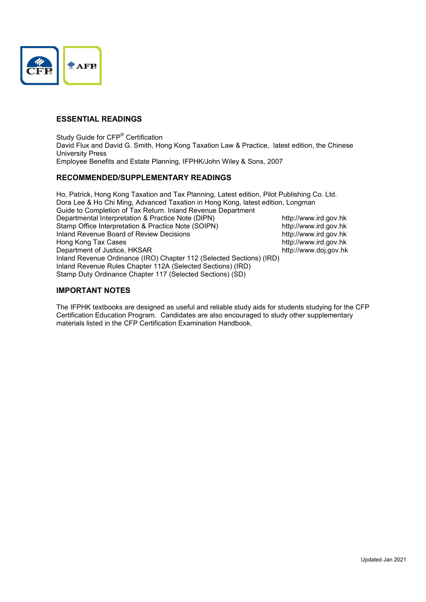

### ESSENTIAL READINGS

Study Guide for CFP<sup>®</sup> Certification David Flux and David G. Smith, Hong Kong Taxation Law & Practice, latest edition, the Chinese University Press Employee Benefits and Estate Planning, IFPHK/John Wiley & Sons, 2007

### RECOMMENDED/SUPPLEMENTARY READINGS

Ho, Patrick, Hong Kong Taxation and Tax Planning, Latest edition, Pilot Publishing Co. Ltd. Dora Lee & Ho Chi Ming, Advanced Taxation in Hong Kong, latest edition, Longman Guide to Completion of Tax Return. Inland Revenue Department Departmental Interpretation & Practice Note (DIPN) http://www.ird.gov.hk Stamp Office Interpretation & Practice Note (SOIPN) http://www.ird.gov.hk Inland Revenue Board of Review Decisions http://www.ird.gov.hk Hong Kong Tax Cases<br>
Department of Justice, HKSAR<br>
http://www.ird.gov.hk Department of Justice, HKSAR Inland Revenue Ordinance (IRO) Chapter 112 (Selected Sections) (IRD) Inland Revenue Rules Chapter 112A (Selected Sections) (IRD) Stamp Duty Ordinance Chapter 117 (Selected Sections) (SD)

### IMPORTANT NOTES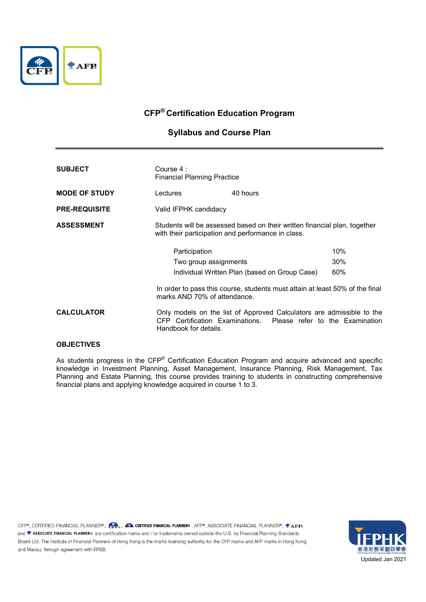

## Syllabus and Course Plan

| <b>SUBJECT</b>       | Course 4 :<br><b>Financial Planning Practice</b>                                                                                                                                                        |                                                                                                                                          |     |
|----------------------|---------------------------------------------------------------------------------------------------------------------------------------------------------------------------------------------------------|------------------------------------------------------------------------------------------------------------------------------------------|-----|
| <b>MODE OF STUDY</b> | Lectures                                                                                                                                                                                                | 40 hours                                                                                                                                 |     |
| <b>PRE-REQUISITE</b> | Valid IFPHK candidacy                                                                                                                                                                                   |                                                                                                                                          |     |
| <b>ASSESSMENT</b>    | Students will be assessed based on their written financial plan, together<br>with their participation and performance in class.                                                                         |                                                                                                                                          |     |
|                      | Participation<br>Two group assignments<br>Individual Written Plan (based on Group Case)<br>In order to pass this course, students must attain at least 50% of the final<br>marks AND 70% of attendance. |                                                                                                                                          | 10% |
|                      |                                                                                                                                                                                                         |                                                                                                                                          | 30% |
|                      |                                                                                                                                                                                                         |                                                                                                                                          | 60% |
|                      |                                                                                                                                                                                                         |                                                                                                                                          |     |
| <b>CALCULATOR</b>    | Handbook for details.                                                                                                                                                                                   | Only models on the list of Approved Calculators are admissible to the<br>CFP Certification Examinations. Please refer to the Examination |     |

### **OBJECTIVES**

As students progress in the CFP<sup>®</sup> Certification Education Program and acquire advanced and specific knowledge in Investment Planning, Asset Management, Insurance Planning, Risk Management, Tax Planning and Estate Planning, this course provides training to students in constructing comprehensive financial plans and applying knowledge acquired in course 1 to 3.

CFP®, CERTIFIED FINANCIAL PLANNER® , CP. , 2 CERTIFIED FINANCIAL PLANNER® , AFP®, ASSOCIATE FINANCIAL PLANNER®, 2 AFP® and  $\blacktriangle$  ASSOCIATE FINANCIAL PLANNER® are certification marks and / or trademarks owned outside the U.S. by Financial Planning Standards Board Ltd. The Institute of Financial Planners of Hong Kong is the marks licensing authority for the CFP marks and AFP marks in Hong Kong and Macau, through agreement with FPSB.